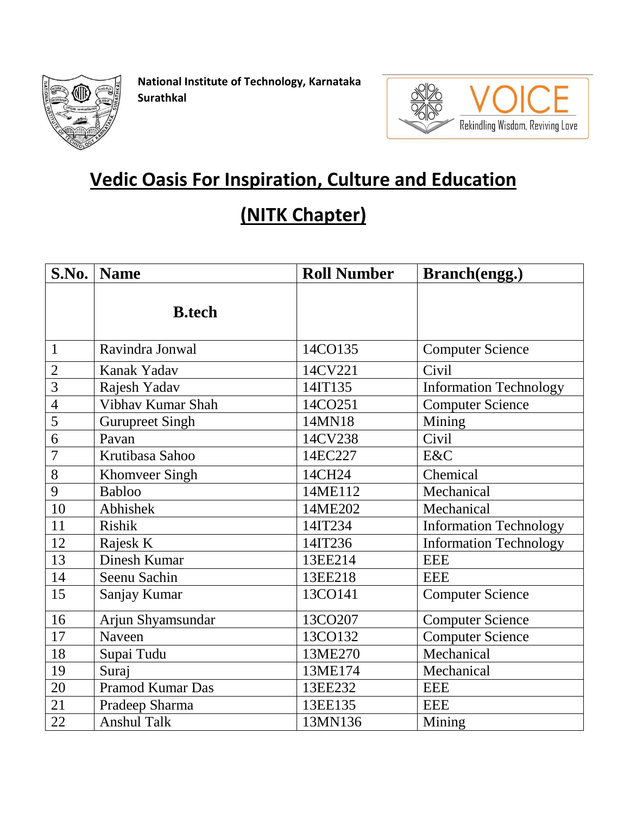

**National Institute of Technology, Karnataka Surathkal**



## **Vedic Oasis For Inspiration, Culture and Education**

## **(NITK Chapter)**

| S.No.          | <b>Name</b>             | <b>Roll Number</b> | <b>Branch</b> (engg.)         |
|----------------|-------------------------|--------------------|-------------------------------|
|                | <b>B.tech</b>           |                    |                               |
| $\mathbf{1}$   | Ravindra Jonwal         | 14CO135            | <b>Computer Science</b>       |
| $\overline{2}$ | Kanak Yadav             | 14CV221            | Civil                         |
| $\overline{3}$ | Rajesh Yadav            | 14IT135            | <b>Information Technology</b> |
| $\overline{4}$ | Vibhav Kumar Shah       | 14CO251            | <b>Computer Science</b>       |
| 5              | <b>Gurupreet Singh</b>  | 14MN18             | Mining                        |
| 6              | Pavan                   | 14CV238            | Civil                         |
| $\overline{7}$ | Krutibasa Sahoo         | 14EC227            | E&C                           |
| 8              | <b>Khomveer Singh</b>   | 14CH24             | Chemical                      |
| 9              | <b>Babloo</b>           | 14ME112            | Mechanical                    |
| 10             | Abhishek                | 14ME202            | Mechanical                    |
| 11             | Rishik                  | 14IT234            | <b>Information Technology</b> |
| 12             | Rajesk K                | 14IT236            | <b>Information Technology</b> |
| 13             | Dinesh Kumar            | 13EE214            | <b>EEE</b>                    |
| 14             | Seenu Sachin            | 13EE218            | <b>EEE</b>                    |
| 15             | Sanjay Kumar            | 13CO141            | <b>Computer Science</b>       |
| 16             | Arjun Shyamsundar       | 13CO207            | <b>Computer Science</b>       |
| 17             | Naveen                  | 13CO132            | <b>Computer Science</b>       |
| 18             | Supai Tudu              | 13ME270            | Mechanical                    |
| 19             | Suraj                   | 13ME174            | Mechanical                    |
| 20             | <b>Pramod Kumar Das</b> | 13EE232            | <b>EEE</b>                    |
| 21             | Pradeep Sharma          | 13EE135            | <b>EEE</b>                    |
| 22             | <b>Anshul Talk</b>      | 13MN136            | Mining                        |